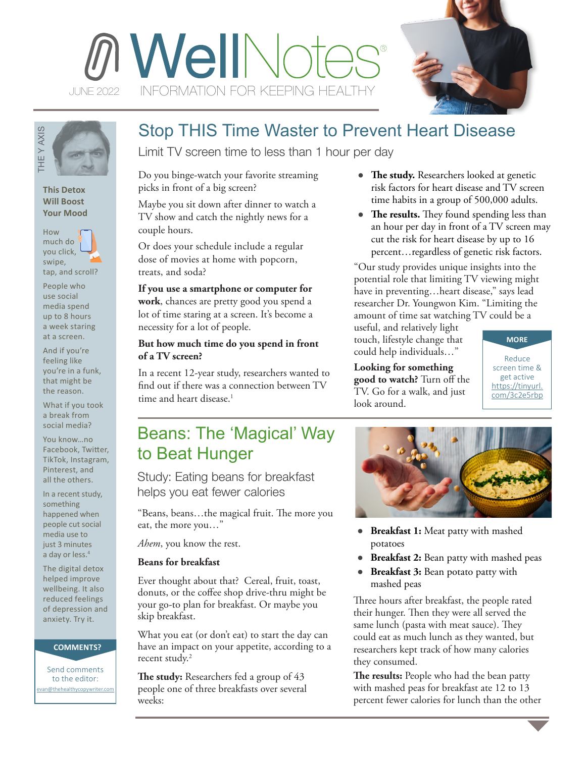



## **This Detox Will Boost Your Mood**



People who use social media spend up to 8 hours a week staring at a screen.

And if you're feeling like you're in a funk, that might be the reason.

What if you took a break from social media?

You know…no Facebook, Twitter, TikTok, Instagram, Pinterest, and all the others.

In a recent study, something happened when people cut social media use to just 3 minutes a day or less.<sup>4</sup> evaluation and the others.<br>
This Detox<br>
Will Boost<br>
Your Mood<br>
How much do<br>
you click, swipe,<br>
tap, and scroll?<br>
People who<br>
use social<br>
media spend<br>
up to 8 hours<br>
a week staring<br>
at a screen.<br>
And if you're fieling like<br>

The digital detox helped improve wellbeing. It also reduced feelings of depression and anxiety. Try it.

### **COMMENTS?**

Send comments to the editor: van@thehealthycopywriter.com

# Stop THIS Time Waster to Prevent Heart Disease

Limit TV screen time to less than 1 hour per day

Do you binge-watch your favorite streaming picks in front of a big screen?

Maybe you sit down after dinner to watch a TV show and catch the nightly news for a couple hours.

Or does your schedule include a regular dose of movies at home with popcorn, treats, and soda?

**If you use a smartphone or computer for work**, chances are pretty good you spend a lot of time staring at a screen. It's become a necessity for a lot of people.

# **But how much time do you spend in front of a TV screen?**

In a recent 12-year study, researchers wanted to find out if there was a connection between TV time and heart disease.<sup>1</sup>

# Beans: The 'Magical' Way to Beat Hunger

Study: Eating beans for breakfast helps you eat fewer calories

"Beans, beans…the magical fruit. The more you eat, the more you…"

*Ahem*, you know the rest.

# **Beans for breakfast**

Ever thought about that? Cereal, fruit, toast, donuts, or the coffee shop drive-thru might be your go-to plan for breakfast. Or maybe you skip breakfast.

What you eat (or don't eat) to start the day can have an impact on your appetite, according to a recent study.<sup>2</sup>

**The study:** Researchers fed a group of 43 people one of three breakfasts over several weeks:

- **The study.** Researchers looked at genetic risk factors for heart disease and TV screen time habits in a group of 500,000 adults.
- The results. They found spending less than an hour per day in front of a TV screen may cut the risk for heart disease by up to 16 percent…regardless of genetic risk factors.

"Our study provides unique insights into the potential role that limiting TV viewing might have in preventing...heart disease," says lead researcher Dr. Youngwon Kim. "Limiting the amount of time sat watching TV could be a

useful, and relatively light touch, lifestyle change that could help individuals…"

**Looking for something good to watch?** Turn off the TV. Go for a walk, and just look around.

**MORE**

Reduce screen time & get active [https://tinyurl.](https://tinyurl.com/3c2e5rbp) [com/3c2e5rbp](https://tinyurl.com/3c2e5rbp)

- ● **Breakfast 1:** Meat patty with mashed potatoes
- **Breakfast 2:** Bean patty with mashed peas
- **Breakfast 3:** Bean potato patty with mashed peas

Three hours after breakfast, the people rated their hunger. Then they were all served the same lunch (pasta with meat sauce). They could eat as much lunch as they wanted, but researchers kept track of how many calories they consumed.

**The results:** People who had the bean patty with mashed peas for breakfast ate 12 to 13 percent fewer calories for lunch than the other